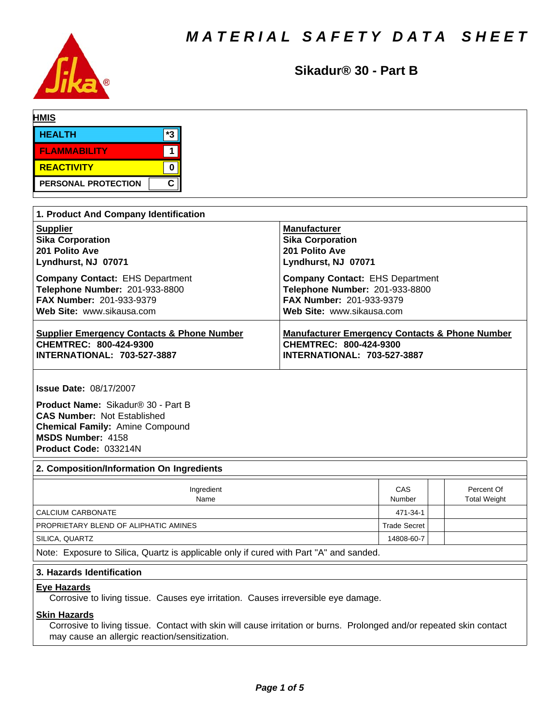

**Sikadur® 30 - Part B**

| <b>HMIS</b>         |      |
|---------------------|------|
| <b>HEALTH</b>       | $*2$ |
| <b>FLAMMABILITY</b> |      |
| REACTIVITY          |      |
| PERSONAL PROTECTION | С    |

| 1. Product And Company Identification                 |                                                           |  |  |  |  |  |
|-------------------------------------------------------|-----------------------------------------------------------|--|--|--|--|--|
| <b>Supplier</b>                                       | <b>Manufacturer</b>                                       |  |  |  |  |  |
| <b>Sika Corporation</b>                               | <b>Sika Corporation</b>                                   |  |  |  |  |  |
| 201 Polito Ave                                        | 201 Polito Ave                                            |  |  |  |  |  |
| Lyndhurst, NJ 07071                                   | Lyndhurst, NJ 07071                                       |  |  |  |  |  |
| <b>Company Contact: EHS Department</b>                | <b>Company Contact: EHS Department</b>                    |  |  |  |  |  |
| Telephone Number: 201-933-8800                        | Telephone Number: 201-933-8800                            |  |  |  |  |  |
| <b>FAX Number: 201-933-9379</b>                       | <b>FAX Number: 201-933-9379</b>                           |  |  |  |  |  |
| Web Site: www.sikausa.com                             | Web Site: www.sikausa.com                                 |  |  |  |  |  |
| <b>Supplier Emergency Contacts &amp; Phone Number</b> | <b>Manufacturer Emergency Contacts &amp; Phone Number</b> |  |  |  |  |  |
| CHEMTREC: 800-424-9300                                | CHEMTREC: 800-424-9300                                    |  |  |  |  |  |
| <b>INTERNATIONAL: 703-527-3887</b>                    | <b>INTERNATIONAL: 703-527-3887</b>                        |  |  |  |  |  |

**Issue Date:** 08/17/2007

**Product Name: Sikadur® 30 - Part B CAS Number:** Not Established **Chemical Family:** Amine Compound **MSDS Number:** 4158 **Product Code:** 033214N

# **2. Composition/Information On Ingredients**

| Ingredient<br>Name                    | CAS<br>Number |  | Percent Of<br><b>Total Weight</b> |  |  |  |
|---------------------------------------|---------------|--|-----------------------------------|--|--|--|
| CALCIUM CARBONATE                     | 471-34-1      |  |                                   |  |  |  |
| PROPRIETARY BLEND OF ALIPHATIC AMINES | Trade Secret  |  |                                   |  |  |  |
| SILICA, QUARTZ                        | 14808-60-7    |  |                                   |  |  |  |
|                                       |               |  |                                   |  |  |  |

Note: Exposure to Silica, Quartz is applicable only if cured with Part "A" and sanded.

#### **3. Hazards Identification**

# **Eye Hazards**

Corrosive to living tissue. Causes eye irritation. Causes irreversible eye damage.

#### **Skin Hazards**

Corrosive to living tissue. Contact with skin will cause irritation or burns. Prolonged and/or repeated skin contact may cause an allergic reaction/sensitization.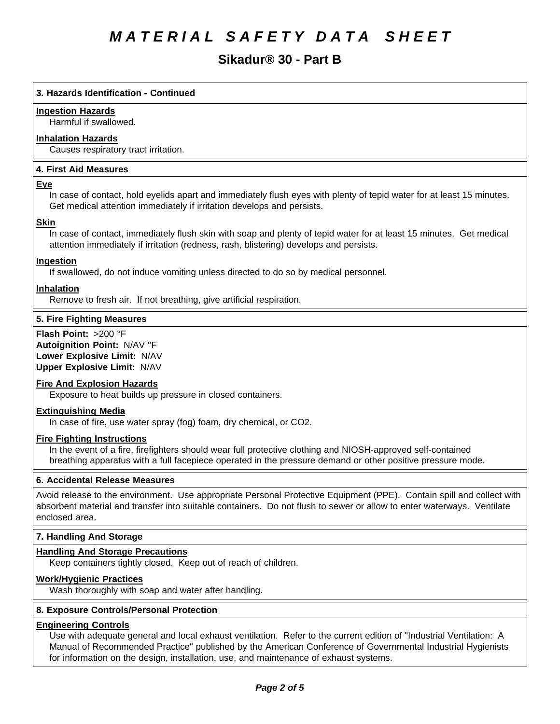# **Sikadur® 30 - Part B**

# **3. Hazards Identification - Continued**

#### **Ingestion Hazards**

Harmful if swallowed.

# **Inhalation Hazards**

Causes respiratory tract irritation.

# **4.First AidMeasures**

#### **Eye**

In case of contact, hold eyelids apart and immediately flush eyes with plenty of tepid water for at least 15 minutes. Get medical attention immediately if irritation develops and persists.

#### **Skin**

In case of contact, immediately flush skin with soap and plenty of tepid water for at least 15 minutes. Get medical attention immediately if irritation (redness, rash, blistering) develops and persists.

# **Ingestion**

If swallowed, do not induce vomiting unless directed to do so by medical personnel.

#### **Inhalation**

Remove to fresh air. If not breathing, give artificial respiration.

# **5. Fire Fighting Measures**

**Flash Point:** >200 °F **Autoignition Point:** N/AV°F **Lower Explosive Limit:** N/AV **Upper Explosive Limit:** N/AV

# **Fire And Explosion Hazards**

Exposure to heat builds up pressure in closed containers.

#### **Extinguishing Media**

In case of fire, use water spray (fog) foam, dry chemical, or CO2.

#### **Fire Fighting Instructions**

In the event of a fire, firefighters should wear full protective clothing and NIOSH-approved self-contained breathing apparatus with a full facepiece operated in the pressure demand or other positive pressure mode.

#### **6. Accidental Release Measures**

Avoid release to the environment. Use appropriate Personal Protective Equipment (PPE). Contain spill and collect with absorbent material and transfer into suitable containers. Do not flush to sewer or allow to enter waterways. Ventilate enclosed area.

# **7. Handling And Storage**

# **Handling And Storage Precautions**

Keep containers tightly closed. Keep out of reach of children.

#### **Work/Hygienic Practices**

Wash thoroughly with soap and water after handling.

#### **8. Exposure Controls/Personal Protection**

# **Engineering Controls**

Use with adequate general and local exhaust ventilation. Refer to the current edition of "Industrial Ventilation: A Manual of Recommended Practice" published by the American Conference of Governmental Industrial Hygienists for information on the design, installation, use, and maintenance of exhaust systems.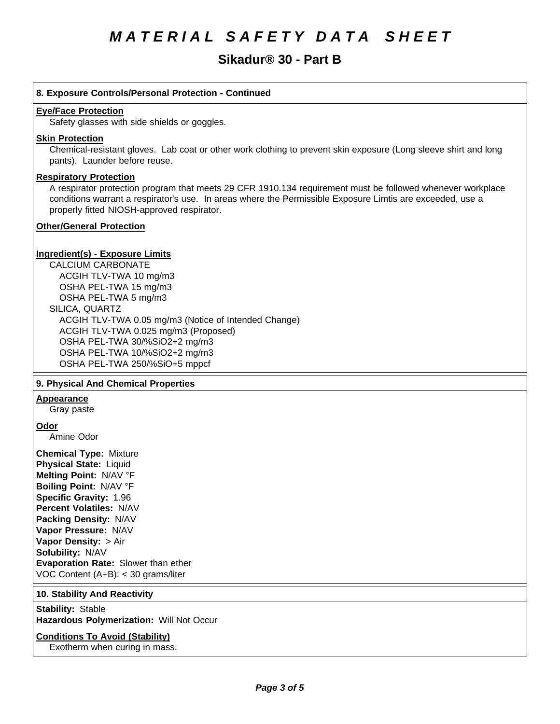# **Sikadur® 30 - Part B**

# **8. Exposure Controls/Personal Protection - Continued**

#### **Eye/Face Protection**

Safety glasses with side shields or goggles.

#### **Skin Protection**

Chemical-resistant gloves. Lab coat or other work clothing to prevent skin exposure (Long sleeve shirt and long pants). Launder before reuse.

#### **Respiratory Protection**

A respirator protection program that meets 29 CFR 1910.134 requirement must be followed whenever workplace conditions warrant a respirator's use. In areas where the Permissible Exposure Limtis are exceeded, use a properly fitted NIOSH-approved respirator.

# **Other/General Protection**

# **Ingredient(s) - Exposure Limits**

CALCIUM CARBONATE ACGIH TLV-TWA10 mg/m3 OSHA PEL-TWA 15 mg/m3 OSHA PEL-TWA 5 mg/m3 SILICA, QUARTZ ACGIH TLV-TWA 0.05 mg/m3(Notice of Intended Change) ACGIH TLV-TWA 0.025 mg/m3 (Proposed) OSHA PEL-TWA 30/%SiO2+2 mg/m3 OSHA PEL-TWA 10/%SiO2+2 mg/m3 OSHA PEL-TWA 250/%SiO+5 mppcf

# **9. Physical And Chemical Properties**

# **Appearance**

Gray paste

#### **Odor**

Amine Odor

**Chemical Type:** Mixture **Physical State:** Liquid **Melting Point:** N/AV°F **Boiling Point:** N/AV°F **Specific Gravity:** 1.96 **Percent Volatiles:** N/AV **Packing Density:** N/AV **Vapor Pressure:** N/AV **Vapor Density: > Air Solubility: N/AV Evaporation Rate:** Slower than ether VOC Content (A+B): < 30 grams/liter

# **10. Stability And Reactivity**

**Stability: Stable Hazardous Polymerization: Will Not Occur** 

# **Conditions To Avoid (Stability)**

Exotherm when curing in mass.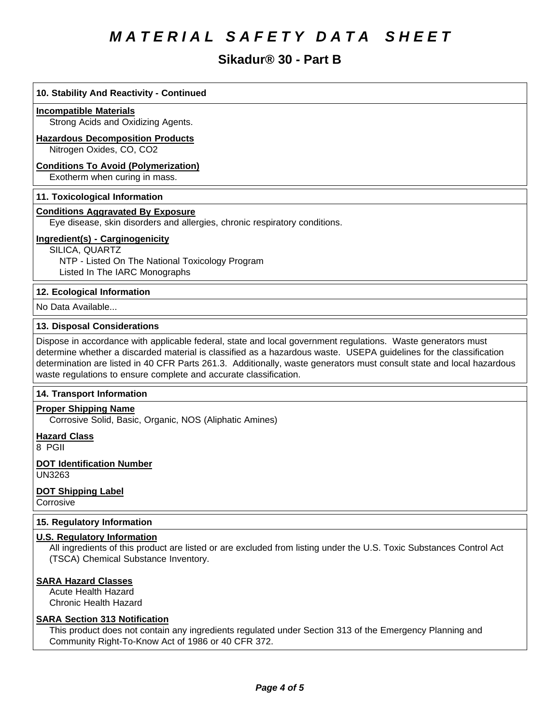# **Sikadur® 30 - Part B**

# **10. Stability And Reactivity - Continued**

#### **Incompatible Materials**

Strong Acids and Oxidizing Agents.

#### **Hazardous Decomposition Products**

Nitrogen Oxides, CO, CO2

#### **Conditions To Avoid (Polymerization)**

Exotherm when curing in mass.

#### **11. Toxicological Information**

# **Conditions Aggravated By Exposure**

Eye disease, skin disorders and allergies, chronic respiratory conditions.

# **Ingredient(s) - Carginogenicity**

SILICA, QUARTZ NTP - Listed On The National Toxicology Program Listed In The IARC Monographs

# **12. Ecological Information**

No Data Available...

#### **13. Disposal Considerations**

Dispose in accordance with applicable federal, state and local government regulations. Waste generators must determine whether a discarded material is classified as a hazardous waste. USEPA guidelines for the classification determination are listed in 40 CFR Parts 261.3. Additionally, waste generators must consult state and local hazardous waste regulations to ensure complete and accurate classification.

# **14. Transport Information**

# **Proper Shipping Name**

Corrosive Solid, Basic, Organic, NOS (Aliphatic Amines)

**Hazard Class**

8 PGII

#### **DOT Identification Number** UN3263

**DOT Shipping Label**

Corrosive

# **15. Regulatory Information**

# **U.S. Regulatory Information**

All ingredients of this product are listed or are excluded from listing under the U.S. Toxic Substances Control Act (TSCA) Chemical Substance Inventory.

# **SARA Hazard Classes**

Acute Health Hazard Chronic Health Hazard

# **SARA Section 313 Notification**

This product does not contain any ingredients regulated under Section 313 of the Emergency Planning and Community Right-To-Know Act of 1986 or 40 CFR 372.